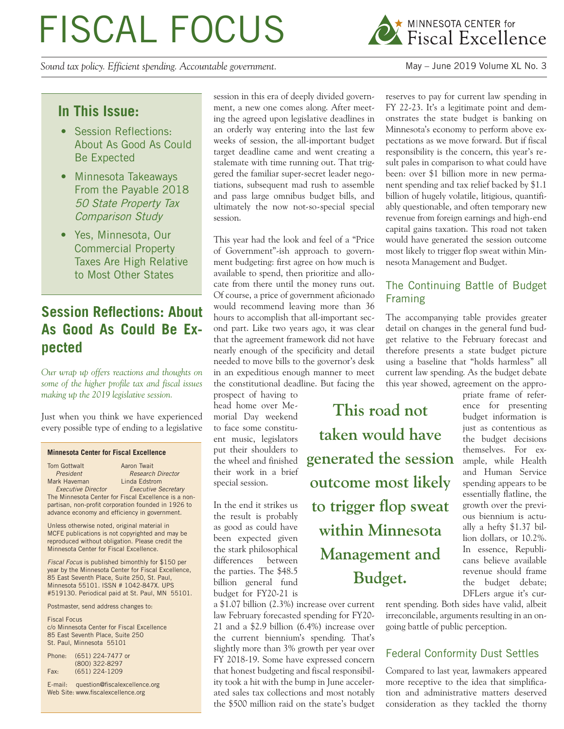# FISCAL FOCUS

*Sound tax policy. Efficient spending. Accountable government.* May – June 2019 Volume XL No. 3



### **In This Issue:**

- Session Reflections: About As Good As Could Be Expected
- Minnesota Takeaways From the Payable 2018 50 State Property Tax Comparison Study
- Yes, Minnesota, Our Commercial Property Taxes Are High Relative to Most Other States

# **Session Reflections: About As Good As Could Be Expected**

*Our wrap up offers reactions and thoughts on some of the higher profile tax and fiscal issues making up the 2019 legislative session.*

Just when you think we have experienced every possible type of ending to a legislative

#### **Minnesota Center for Fiscal Excellence**

| Tom Gottwalt                                  | Aaron Twait                                          |
|-----------------------------------------------|------------------------------------------------------|
| President                                     | <b>Research Director</b>                             |
| Mark Haveman                                  | Linda Edstrom                                        |
| <b>Executive Director</b>                     | <b>Executive Secretary</b>                           |
|                                               | The Minnesota Center for Fiscal Excellence is a non- |
|                                               | partisan, non-profit corporation founded in 1926 to  |
| advance economy and efficiency in government. |                                                      |

Unless otherwise noted, original material in MCFE publications is not copyrighted and may be reproduced without obligation. Please credit the Minnesota Center for Fiscal Excellence.

*Fiscal Focus* is published bimonthly for \$150 per year by the Minnesota Center for Fiscal Excellence, 85 East Seventh Place, Suite 250, St. Paul, Minnesota 55101. ISSN # 1042-847X. UPS #519130. Periodical paid at St. Paul, MN 55101.

Postmaster, send address changes to:

Fiscal Focus c/o Minnesota Center for Fiscal Excellence 85 East Seventh Place, Suite 250 St. Paul, Minnesota 55101

| Phone: | (651) 224-7477 or |
|--------|-------------------|
|        | (800) 322-8297    |
| Fax:   | $(651)$ 224-1209  |

E-mail: question@fiscalexcellence.org Web Site: www.fiscalexcellence.org

session in this era of deeply divided government, a new one comes along. After meeting the agreed upon legislative deadlines in an orderly way entering into the last few weeks of session, the all-important budget target deadline came and went creating a stalemate with time running out. That triggered the familiar super-secret leader negotiations, subsequent mad rush to assemble and pass large omnibus budget bills, and ultimately the now not-so-special special session.

This year had the look and feel of a "Price of Government"-ish approach to government budgeting: first agree on how much is available to spend, then prioritize and allocate from there until the money runs out. Of course, a price of government aficionado would recommend leaving more than 36 hours to accomplish that all-important second part. Like two years ago, it was clear that the agreement framework did not have nearly enough of the specificity and detail needed to move bills to the governor's desk in an expeditious enough manner to meet the constitutional deadline. But facing the

prospect of having to head home over Memorial Day weekend to face some constituent music, legislators put their shoulders to the wheel and finished their work in a brief special session.

In the end it strikes us the result is probably as good as could have been expected given the stark philosophical differences between the parties. The \$48.5 billion general fund budget for FY20-21 is

a \$1.07 billion (2.3%) increase over current law February forecasted spending for FY20- 21 and a \$2.9 billion (6.4%) increase over the current biennium's spending. That's slightly more than 3% growth per year over FY 2018-19. Some have expressed concern that honest budgeting and fiscal responsibility took a hit with the bump in June accelerated sales tax collections and most notably the \$500 million raid on the state's budget reserves to pay for current law spending in FY 22-23. It's a legitimate point and demonstrates the state budget is banking on Minnesota's economy to perform above expectations as we move forward. But if fiscal responsibility is the concern, this year's result pales in comparison to what could have been: over \$1 billion more in new permanent spending and tax relief backed by \$1.1 billion of hugely volatile, litigious, quantifiably questionable, and often temporary new revenue from foreign earnings and high-end capital gains taxation. This road not taken would have generated the session outcome most likely to trigger flop sweat within Minnesota Management and Budget.

#### The Continuing Battle of Budget Framing

The accompanying table provides greater detail on changes in the general fund budget relative to the February forecast and therefore presents a state budget picture using a baseline that "holds harmless" all current law spending. As the budget debate this year showed, agreement on the appro-

**This road not taken would have generated the session outcome most likely to trigger flop sweat within Minnesota Management and Budget.**

priate frame of reference for presenting budget information is just as contentious as the budget decisions themselves. For example, while Health and Human Service spending appears to be essentially flatline, the growth over the previous biennium is actually a hefty \$1.37 billion dollars, or 10.2%. In essence, Republicans believe available revenue should frame the budget debate; DFLers argue it's cur-

rent spending. Both sides have valid, albeit irreconcilable, arguments resulting in an ongoing battle of public perception.

#### Federal Conformity Dust Settles

Compared to last year, lawmakers appeared more receptive to the idea that simplification and administrative matters deserved consideration as they tackled the thorny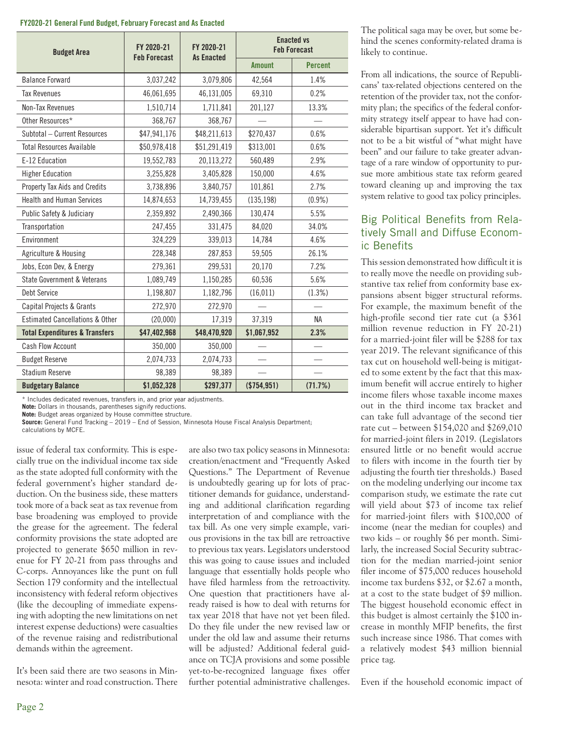#### **FY2020-21 General Fund Budget, February Forecast and As Enacted**

| <b>Budget Area</b>                         | FY 2020-21<br><b>Feb Forecast</b> | FY 2020-21<br><b>As Enacted</b> | <b>Enacted vs</b><br><b>Feb Forecast</b> |                |  |
|--------------------------------------------|-----------------------------------|---------------------------------|------------------------------------------|----------------|--|
|                                            |                                   |                                 | <b>Amount</b>                            | <b>Percent</b> |  |
| <b>Balance Forward</b>                     | 3,037,242                         | 3,079,806                       | 42,564                                   | 1.4%           |  |
| <b>Tax Revenues</b>                        | 46,061,695                        | 46,131,005                      | 69,310                                   | 0.2%           |  |
| Non-Tax Revenues                           | 1,510,714                         | 1,711,841                       | 201,127                                  | 13.3%          |  |
| Other Resources*                           | 368,767                           | 368,767                         |                                          |                |  |
| Subtotal - Current Resources               | \$47,941,176                      | \$48,211,613                    | \$270,437                                | 0.6%           |  |
| <b>Total Resources Available</b>           | \$50,978,418                      | \$51,291,419                    | \$313,001                                | 0.6%           |  |
| E-12 Education                             | 19,552,783                        | 20,113,272                      | 560,489                                  | 2.9%           |  |
| <b>Higher Education</b>                    | 3,255,828                         | 3,405,828                       | 150,000                                  | 4.6%           |  |
| Property Tax Aids and Credits              | 3,738,896                         | 3,840,757                       | 101,861                                  | 2.7%           |  |
| <b>Health and Human Services</b>           | 14,874,653                        | 14,739,455                      | (135, 198)                               | $(0.9\%)$      |  |
| Public Safety & Judiciary                  | 2,359,892                         | 2,490,366                       | 130,474                                  | 5.5%           |  |
| Transportation                             | 247,455                           | 331,475                         | 84,020                                   | 34.0%          |  |
| Environment                                | 324,229                           | 339,013                         | 14,784                                   | 4.6%           |  |
| Agriculture & Housing                      | 228,348                           | 287,853                         | 59,505                                   | 26.1%          |  |
| Jobs, Econ Dev, & Energy                   | 279,361                           | 299,531                         | 20,170                                   | 7.2%           |  |
| State Government & Veterans                | 1,089,749                         | 1,150,285                       | 60,536                                   | 5.6%           |  |
| Debt Service                               | 1,198,807                         | 1,182,796                       | (16, 011)                                | (1.3%)         |  |
| Capital Projects & Grants                  | 272,970                           | 272,970                         |                                          |                |  |
| <b>Estimated Cancellations &amp; Other</b> | (20,000)                          | 17,319                          | 37,319                                   | <b>NA</b>      |  |
| <b>Total Expenditures &amp; Transfers</b>  | \$47,402,968                      | \$48,470,920                    | \$1,067,952                              | 2.3%           |  |
| Cash Flow Account                          | 350,000                           | 350,000                         |                                          |                |  |
| <b>Budget Reserve</b>                      | 2,074,733                         | 2,074,733                       |                                          |                |  |
| <b>Stadium Reserve</b>                     | 98,389                            | 98,389                          |                                          |                |  |
| <b>Budgetary Balance</b>                   | \$1,052,328                       | \$297,377                       | ( \$754, 951)                            | (71.7%)        |  |

\* Includes dedicated revenues, transfers in, and prior year adjustments.

**Note:** Dollars in thousands, parentheses signify reductions.

**Note:** Budget areas organized by House committee structure.

**Source:** General Fund Tracking – 2019 – End of Session, Minnesota House Fiscal Analysis Department; calculations by MCFE.

issue of federal tax conformity. This is especially true on the individual income tax side as the state adopted full conformity with the federal government's higher standard deduction. On the business side, these matters took more of a back seat as tax revenue from base broadening was employed to provide the grease for the agreement. The federal conformity provisions the state adopted are projected to generate \$650 million in revenue for FY 20-21 from pass throughs and C-corps. Annoyances like the punt on full Section 179 conformity and the intellectual inconsistency with federal reform objectives (like the decoupling of immediate expensing with adopting the new limitations on net interest expense deductions) were casualties of the revenue raising and redistributional demands within the agreement.

It's been said there are two seasons in Minnesota: winter and road construction. There are also two tax policy seasons in Minnesota: creation/enactment and "Frequently Asked Questions." The Department of Revenue is undoubtedly gearing up for lots of practitioner demands for guidance, understanding and additional clarification regarding interpretation of and compliance with the tax bill. As one very simple example, various provisions in the tax bill are retroactive to previous tax years. Legislators understood this was going to cause issues and included language that essentially holds people who have filed harmless from the retroactivity. One question that practitioners have already raised is how to deal with returns for tax year 2018 that have not yet been filed. Do they file under the new revised law or under the old law and assume their returns will be adjusted? Additional federal guidance on TCJA provisions and some possible yet-to-be-recognized language fixes offer further potential administrative challenges. The political saga may be over, but some behind the scenes conformity-related drama is likely to continue.

From all indications, the source of Republicans' tax-related objections centered on the retention of the provider tax, not the conformity plan; the specifics of the federal conformity strategy itself appear to have had considerable bipartisan support. Yet it's difficult not to be a bit wistful of "what might have been" and our failure to take greater advantage of a rare window of opportunity to pursue more ambitious state tax reform geared toward cleaning up and improving the tax system relative to good tax policy principles.

#### Big Political Benefits from Relatively Small and Diffuse Economic Benefits

This session demonstrated how difficult it is to really move the needle on providing substantive tax relief from conformity base expansions absent bigger structural reforms. For example, the maximum benefit of the high-profile second tier rate cut (a \$361 million revenue reduction in FY 20-21) for a married-joint filer will be \$288 for tax year 2019. The relevant significance of this tax cut on household well-being is mitigated to some extent by the fact that this maximum benefit will accrue entirely to higher income filers whose taxable income maxes out in the third income tax bracket and can take full advantage of the second tier rate cut – between \$154,020 and \$269,010 for married-joint filers in 2019. (Legislators ensured little or no benefit would accrue to filers with income in the fourth tier by adjusting the fourth tier thresholds.) Based on the modeling underlying our income tax comparison study, we estimate the rate cut will yield about \$73 of income tax relief for married-joint filers with \$100,000 of income (near the median for couples) and two kids – or roughly \$6 per month. Similarly, the increased Social Security subtraction for the median married-joint senior filer income of \$75,000 reduces household income tax burdens \$32, or \$2.67 a month, at a cost to the state budget of \$9 million. The biggest household economic effect in this budget is almost certainly the \$100 increase in monthly MFIP benefits, the first such increase since 1986. That comes with a relatively modest \$43 million biennial price tag.

Even if the household economic impact of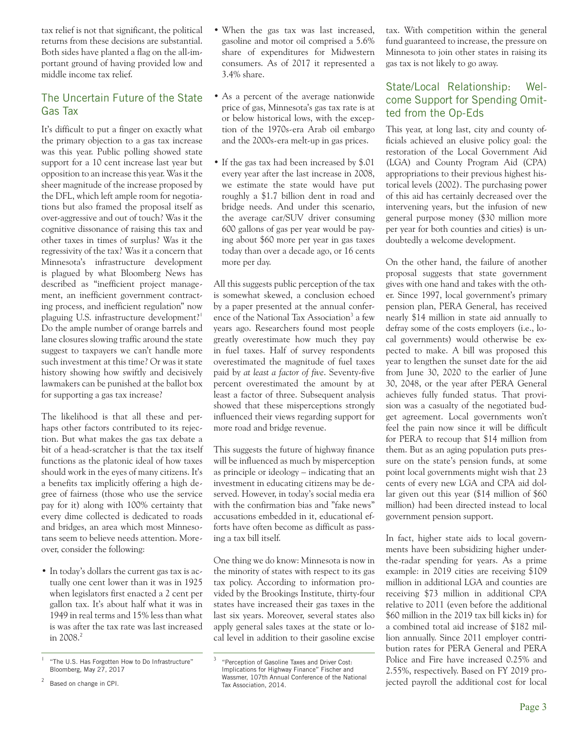tax relief is not that significant, the political returns from these decisions are substantial. Both sides have planted a flag on the all-important ground of having provided low and middle income tax relief.

#### The Uncertain Future of the State Gas Tax

It's difficult to put a finger on exactly what the primary objection to a gas tax increase was this year. Public polling showed state support for a 10 cent increase last year but opposition to an increase this year. Was it the sheer magnitude of the increase proposed by the DFL, which left ample room for negotiations but also framed the proposal itself as over-aggressive and out of touch? Was it the cognitive dissonance of raising this tax and other taxes in times of surplus? Was it the regressivity of the tax? Was it a concern that Minnesota's infrastructure development is plagued by what Bloomberg News has described as "inefficient project management, an inefficient government contracting process, and inefficient regulation" now plaguing U.S. infrastructure development?<sup>1</sup> Do the ample number of orange barrels and lane closures slowing traffic around the state suggest to taxpayers we can't handle more such investment at this time? Or was it state history showing how swiftly and decisively lawmakers can be punished at the ballot box for supporting a gas tax increase?

The likelihood is that all these and perhaps other factors contributed to its rejection. But what makes the gas tax debate a bit of a head-scratcher is that the tax itself functions as the platonic ideal of how taxes should work in the eyes of many citizens. It's a benefits tax implicitly offering a high degree of fairness (those who use the service pay for it) along with 100% certainty that every dime collected is dedicated to roads and bridges, an area which most Minnesotans seem to believe needs attention. Moreover, consider the following:

• In today's dollars the current gas tax is actually one cent lower than it was in 1925 when legislators first enacted a 2 cent per gallon tax. It's about half what it was in 1949 in real terms and 15% less than what is was after the tax rate was last increased in 2008.<sup>2</sup>

- When the gas tax was last increased, gasoline and motor oil comprised a 5.6% share of expenditures for Midwestern consumers. As of 2017 it represented a 3.4% share.
- As a percent of the average nationwide price of gas, Minnesota's gas tax rate is at or below historical lows, with the exception of the 1970s-era Arab oil embargo and the 2000s-era melt-up in gas prices.
- If the gas tax had been increased by \$.01 every year after the last increase in 2008, we estimate the state would have put roughly a \$1.7 billion dent in road and bridge needs. And under this scenario, the average car/SUV driver consuming 600 gallons of gas per year would be paying about \$60 more per year in gas taxes today than over a decade ago, or 16 cents more per day.

All this suggests public perception of the tax is somewhat skewed, a conclusion echoed by a paper presented at the annual conference of the National Tax Association<sup>3</sup> a few years ago. Researchers found most people greatly overestimate how much they pay in fuel taxes. Half of survey respondents overestimated the magnitude of fuel taxes paid by *at least a factor of five*. Seventy-five percent overestimated the amount by at least a factor of three. Subsequent analysis showed that these misperceptions strongly influenced their views regarding support for more road and bridge revenue.

This suggests the future of highway finance will be influenced as much by misperception as principle or ideology – indicating that an investment in educating citizens may be deserved. However, in today's social media era with the confirmation bias and "fake news" accusations embedded in it, educational efforts have often become as difficult as passing a tax bill itself.

One thing we do know: Minnesota is now in the minority of states with respect to its gas tax policy. According to information provided by the Brookings Institute, thirty-four states have increased their gas taxes in the last six years. Moreover, several states also apply general sales taxes at the state or local level in addition to their gasoline excise tax. With competition within the general fund guaranteed to increase, the pressure on Minnesota to join other states in raising its gas tax is not likely to go away.

#### State/Local Relationship: Welcome Support for Spending Omitted from the Op-Eds

This year, at long last, city and county officials achieved an elusive policy goal: the restoration of the Local Government Aid (LGA) and County Program Aid (CPA) appropriations to their previous highest historical levels (2002). The purchasing power of this aid has certainly decreased over the intervening years, but the infusion of new general purpose money (\$30 million more per year for both counties and cities) is undoubtedly a welcome development.

On the other hand, the failure of another proposal suggests that state government gives with one hand and takes with the other. Since 1997, local government's primary pension plan, PERA General, has received nearly \$14 million in state aid annually to defray some of the costs employers (i.e., local governments) would otherwise be expected to make. A bill was proposed this year to lengthen the sunset date for the aid from June 30, 2020 to the earlier of June 30, 2048, or the year after PERA General achieves fully funded status. That provision was a casualty of the negotiated budget agreement. Local governments won't feel the pain now since it will be difficult for PERA to recoup that \$14 million from them. But as an aging population puts pressure on the state's pension funds, at some point local governments might wish that 23 cents of every new LGA and CPA aid dollar given out this year (\$14 million of \$60 million) had been directed instead to local government pension support.

In fact, higher state aids to local governments have been subsidizing higher underthe-radar spending for years. As a prime example: in 2019 cities are receiving \$109 million in additional LGA and counties are receiving \$73 million in additional CPA relative to 2011 (even before the additional \$60 million in the 2019 tax bill kicks in) for a combined total aid increase of \$182 million annually. Since 2011 employer contribution rates for PERA General and PERA Police and Fire have increased 0.25% and 2.55%, respectively. Based on FY 2019 projected payroll the additional cost for local

<sup>&</sup>quot;The U.S. Has Forgotten How to Do Infrastructure" Bloomberg, May 27, 2017

<sup>2</sup> Based on change in CPI.

<sup>3</sup> "Perception of Gasoline Taxes and Driver Cost: Implications for Highway Finance" Fischer and Wassmer, 107th Annual Conference of the National Tax Association, 2014.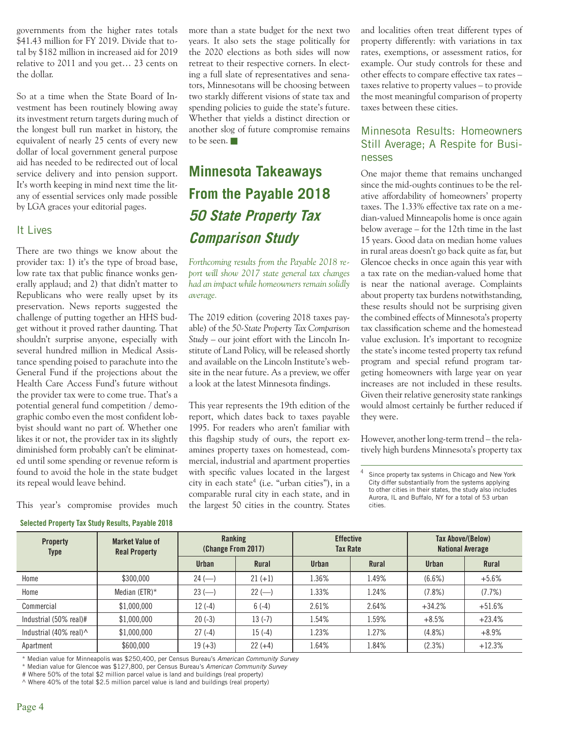governments from the higher rates totals \$41.43 million for FY 2019. Divide that total by \$182 million in increased aid for 2019 relative to 2011 and you get… 23 cents on the dollar.

So at a time when the State Board of Investment has been routinely blowing away its investment return targets during much of the longest bull run market in history, the equivalent of nearly 25 cents of every new dollar of local government general purpose aid has needed to be redirected out of local service delivery and into pension support. It's worth keeping in mind next time the litany of essential services only made possible by LGA graces your editorial pages.

#### It Lives

There are two things we know about the provider tax: 1) it's the type of broad base, low rate tax that public finance wonks generally applaud; and 2) that didn't matter to Republicans who were really upset by its preservation. News reports suggested the challenge of putting together an HHS budget without it proved rather daunting. That shouldn't surprise anyone, especially with several hundred million in Medical Assistance spending poised to parachute into the General Fund if the projections about the Health Care Access Fund's future without the provider tax were to come true. That's a potential general fund competition / demographic combo even the most confident lobbyist should want no part of. Whether one likes it or not, the provider tax in its slightly diminished form probably can't be eliminated until some spending or revenue reform is found to avoid the hole in the state budget its repeal would leave behind.

This year's compromise provides much

**Selected Property Tax Study Results, Payable 2018**

more than a state budget for the next two years. It also sets the stage politically for the 2020 elections as both sides will now retreat to their respective corners. In electing a full slate of representatives and senators, Minnesotans will be choosing between two starkly different visions of state tax and spending policies to guide the state's future. Whether that yields a distinct direction or another slog of future compromise remains to be seen.

# **Minnesota Takeaways From the Payable 2018 50 State Property Tax Comparison Study**

*Forthcoming results from the Payable 2018 report will show 2017 state general tax changes had an impact while homeowners remain solidly average.*

The 2019 edition (covering 2018 taxes payable) of the *50-State Property Tax Comparison Study* – our joint effort with the Lincoln Institute of Land Policy, will be released shortly and available on the Lincoln Institute's website in the near future. As a preview, we offer a look at the latest Minnesota findings.

This year represents the 19th edition of the report, which dates back to taxes payable 1995. For readers who aren't familiar with this flagship study of ours, the report examines property taxes on homestead, commercial, industrial and apartment properties with specific values located in the largest city in each state<sup>4</sup> (i.e. "urban cities"), in a comparable rural city in each state, and in the largest 50 cities in the country. States

and localities often treat different types of property differently: with variations in tax rates, exemptions, or assessment ratios, for example. Our study controls for these and other effects to compare effective tax rates – taxes relative to property values – to provide the most meaningful comparison of property taxes between these cities.

#### Minnesota Results: Homeowners Still Average; A Respite for Businesses

One major theme that remains unchanged since the mid-oughts continues to be the relative affordability of homeowners' property taxes. The 1.33% effective tax rate on a median-valued Minneapolis home is once again below average – for the 12th time in the last 15 years. Good data on median home values in rural areas doesn't go back quite as far, but Glencoe checks in once again this year with a tax rate on the median-valued home that is near the national average. Complaints about property tax burdens notwithstanding, these results should not be surprising given the combined effects of Minnesota's property tax classification scheme and the homestead value exclusion. It's important to recognize the state's income tested property tax refund program and special refund program targeting homeowners with large year on year increases are not included in these results. Given their relative generosity state rankings would almost certainly be further reduced if they were.

However, another long-term trend – the relatively high burdens Minnesota's property tax

<sup>4</sup> Since property tax systems in Chicago and New York City differ substantially from the systems applying to other cities in their states, the study also includes Aurora, IL and Buffalo, NY for a total of 53 urban cities.

| <b>Property</b><br>Type | <b>Market Value of</b><br><b>Real Property</b> | Ranking<br>(Change From 2017) |              | <b>Effective</b><br><b>Tax Rate</b> |              | Tax Above/(Below)<br><b>National Average</b> |              |
|-------------------------|------------------------------------------------|-------------------------------|--------------|-------------------------------------|--------------|----------------------------------------------|--------------|
|                         |                                                | <b>Urban</b>                  | <b>Rural</b> | Urban                               | <b>Rural</b> | <b>Urban</b>                                 | <b>Rural</b> |
| Home                    | \$300,000                                      | $24$ (-)                      | $21 (+1)$    | 1.36%                               | 1.49%        | (6.6%)                                       | $+5.6%$      |
| Home                    | Median ( $ETR$ )*                              | $23 (-)$                      | $22$ (-      | 1.33%                               | 1.24%        | $(7.8\%)$                                    | $(7.7\%)$    |
| Commercial              | \$1.000.000                                    | $12(-4)$                      | $6(-4)$      | 2.61%                               | 2.64%        | $+34.2%$                                     | $+51.6%$     |
| Industrial (50% real)#  | \$1.000.000                                    | $20(-3)$                      | $13(-7)$     | 1.54%                               | 1.59%        | $+8.5%$                                      | $+23.4%$     |
| Industrial (40% real)^  | \$1,000,000                                    | $27(-4)$                      | $15(-4)$     | 1.23%                               | 1.27%        | $(4.8\%)$                                    | $+8.9%$      |
| Apartment               | \$600,000                                      | $19 (+3)$                     | $22 (+4)$    | .64%                                | 1.84%        | (2.3%)                                       | $+12.3%$     |

\* Median value for Minneapolis was \$250,400, per Census Bureau's *American Community Survey*

\* Median value for Glencoe was \$127,800, per Census Bureau's *American Community Survey*

# Where 50% of the total \$2 million parcel value is land and buildings (real property)

^ Where 40% of the total \$2.5 million parcel value is land and buildings (real property)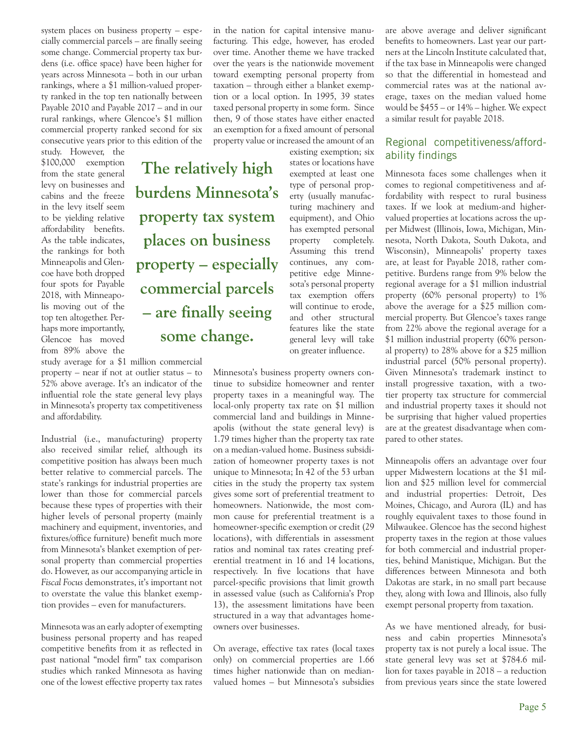system places on business property – especially commercial parcels – are finally seeing some change. Commercial property tax burdens (i.e. office space) have been higher for years across Minnesota – both in our urban rankings, where a \$1 million-valued property ranked in the top ten nationally between Payable 2010 and Payable 2017 – and in our rural rankings, where Glencoe's \$1 million commercial property ranked second for six consecutive years prior to this edition of the

study. However, the \$100,000 exemption from the state general levy on businesses and cabins and the freeze in the levy itself seem to be yielding relative affordability benefits. As the table indicates, the rankings for both Minneapolis and Glencoe have both dropped four spots for Payable 2018, with Minneapolis moving out of the top ten altogether. Perhaps more importantly, Glencoe has moved from 89% above the

study average for a \$1 million commercial property – near if not at outlier status – to 52% above average. It's an indicator of the influential role the state general levy plays in Minnesota's property tax competitiveness and affordability.

Industrial (i.e., manufacturing) property also received similar relief, although its competitive position has always been much better relative to commercial parcels. The state's rankings for industrial properties are lower than those for commercial parcels because these types of properties with their higher levels of personal property (mainly machinery and equipment, inventories, and fixtures/office furniture) benefit much more from Minnesota's blanket exemption of personal property than commercial properties do. However, as our accompanying article in *Fiscal Focus* demonstrates, it's important not to overstate the value this blanket exemption provides – even for manufacturers.

Minnesota was an early adopter of exempting business personal property and has reaped competitive benefits from it as reflected in past national "model firm" tax comparison studies which ranked Minnesota as having one of the lowest effective property tax rates in the nation for capital intensive manufacturing. This edge, however, has eroded over time. Another theme we have tracked over the years is the nationwide movement toward exempting personal property from taxation – through either a blanket exemption or a local option. In 1995, 39 states taxed personal property in some form. Since then, 9 of those states have either enacted an exemption for a fixed amount of personal property value or increased the amount of an

> existing exemption; six states or locations have exempted at least one type of personal property (usually manufacturing machinery and equipment), and Ohio has exempted personal property completely. Assuming this trend continues, any competitive edge Minnesota's personal property tax exemption offers will continue to erode, and other structural features like the state general levy will take on greater influence.

**The relatively high burdens Minnesota's property tax system places on business property – especially commercial parcels – are finally seeing some change.**

> Minnesota's business property owners continue to subsidize homeowner and renter property taxes in a meaningful way. The local-only property tax rate on \$1 million commercial land and buildings in Minneapolis (without the state general levy) is 1.79 times higher than the property tax rate on a median-valued home. Business subsidization of homeowner property taxes is not unique to Minnesota; In 42 of the 53 urban cities in the study the property tax system gives some sort of preferential treatment to homeowners. Nationwide, the most common cause for preferential treatment is a homeowner-specific exemption or credit (29 locations), with differentials in assessment ratios and nominal tax rates creating preferential treatment in 16 and 14 locations, respectively. In five locations that have parcel-specific provisions that limit growth in assessed value (such as California's Prop 13), the assessment limitations have been structured in a way that advantages homeowners over businesses.

> On average, effective tax rates (local taxes only) on commercial properties are 1.66 times higher nationwide than on medianvalued homes – but Minnesota's subsidies

are above average and deliver significant benefits to homeowners. Last year our partners at the Lincoln Institute calculated that, if the tax base in Minneapolis were changed so that the differential in homestead and commercial rates was at the national average, taxes on the median valued home would be \$455 – or 14% – higher. We expect a similar result for payable 2018.

#### Regional competitiveness/affordability findings

Minnesota faces some challenges when it comes to regional competitiveness and affordability with respect to rural business taxes. If we look at medium-and highervalued properties at locations across the upper Midwest (Illinois, Iowa, Michigan, Minnesota, North Dakota, South Dakota, and Wisconsin), Minneapolis' property taxes are, at least for Payable 2018, rather competitive. Burdens range from 9% below the regional average for a \$1 million industrial property (60% personal property) to 1% above the average for a \$25 million commercial property. But Glencoe's taxes range from 22% above the regional average for a \$1 million industrial property (60% personal property) to 28% above for a \$25 million industrial parcel (50% personal property). Given Minnesota's trademark instinct to install progressive taxation, with a twotier property tax structure for commercial and industrial property taxes it should not be surprising that higher valued properties are at the greatest disadvantage when compared to other states.

Minneapolis offers an advantage over four upper Midwestern locations at the \$1 million and \$25 million level for commercial and industrial properties: Detroit, Des Moines, Chicago, and Aurora (IL) and has roughly equivalent taxes to those found in Milwaukee. Glencoe has the second highest property taxes in the region at those values for both commercial and industrial properties, behind Manistique, Michigan. But the differences between Minnesota and both Dakotas are stark, in no small part because they, along with Iowa and Illinois, also fully exempt personal property from taxation.

As we have mentioned already, for business and cabin properties Minnesota's property tax is not purely a local issue. The state general levy was set at \$784.6 million for taxes payable in 2018 – a reduction from previous years since the state lowered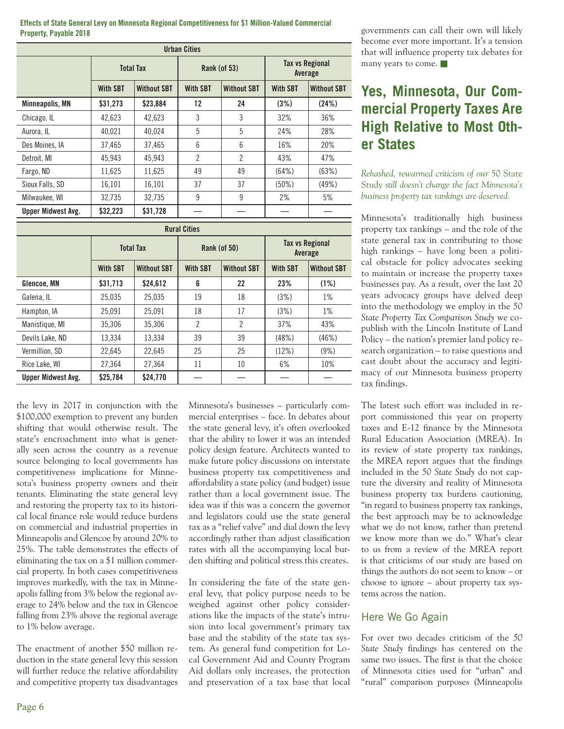**Effects of State General Levy on Minnesota Regional Competitiveness for \$1 Million-Valued Commercial Property, Payable 2018**

| <b>Urban Cities</b>       |                  |                    |                     |                    |                                   |                    |
|---------------------------|------------------|--------------------|---------------------|--------------------|-----------------------------------|--------------------|
|                           | <b>Total Tax</b> |                    | <b>Rank (of 53)</b> |                    | <b>Tax vs Regional</b><br>Average |                    |
|                           | <b>With SBT</b>  | <b>Without SBT</b> | <b>With SBT</b>     | <b>Without SBT</b> | <b>With SBT</b>                   | <b>Without SBT</b> |
| <b>Minneapolis, MN</b>    | \$31,273         | \$23,884           | 12                  | 24                 | (3%)                              | (24%)              |
| Chicago, IL               | 42.623           | 42.623             | 3                   | 3                  | 32%                               | 36%                |
| Aurora, IL                | 40.021           | 40.024             | 5                   | 5                  | 24%                               | 28%                |
| Des Moines, IA            | 37,465           | 37,465             | 6                   | 6                  | 16%                               | 20%                |
| Detroit. MI               | 45.943           | 45.943             | $\overline{2}$      | 2                  | 43%                               | 47%                |
| Fargo, ND                 | 11.625           | 11.625             | 49                  | 49                 | (64%)                             | (63%)              |
| Sioux Falls, SD           | 16,101           | 16,101             | 37                  | 37                 | (50%)                             | (49%)              |
| Milwaukee, WI             | 32,735           | 32,735             | 9                   | 9                  | 2%                                | 5%                 |
| <b>Upper Midwest Avg.</b> | \$32,223         | \$31,728           |                     |                    |                                   |                    |

| <b>Rural Cities</b>       |                  |                    |                                       |                |                                   |                    |
|---------------------------|------------------|--------------------|---------------------------------------|----------------|-----------------------------------|--------------------|
|                           | <b>Total Tax</b> |                    | Rank (of 50)                          |                | <b>Tax vs Regional</b><br>Average |                    |
|                           | <b>With SBT</b>  | <b>Without SBT</b> | <b>Without SBT</b><br><b>With SBT</b> |                | <b>With SBT</b>                   | <b>Without SBT</b> |
| Glencoe, MN               | \$31,713         | \$24.612           | 6                                     | 22             | 23%                               | (1%)               |
| Galena, IL                | 25,035           | 25.035             | 19                                    | 18             | (3%)                              | 1%                 |
| Hampton, IA               | 25,091           | 25,091             | 18                                    | 17             | (3%)                              | 1%                 |
| Manistique, MI            | 35,306           | 35.306             | $\overline{2}$                        | $\overline{2}$ | 37%                               | 43%                |
| Devils Lake, ND           | 13,334           | 13.334             | 39                                    | 39             | (48%)                             | (46%)              |
| Vermillion, SD            | 22,645           | 22.645             | 25                                    | 25             | (12%)                             | (9%)               |
| Rice Lake, WI             | 27.364           | 27.364             | 11                                    | 10             | 6%                                | 10%                |
| <b>Upper Midwest Avg.</b> | \$25,784         | \$24,770           |                                       |                |                                   |                    |

the levy in 2017 in conjunction with the \$100,000 exemption to prevent any burden shifting that would otherwise result. The state's encroachment into what is generally seen across the country as a revenue source belonging to local governments has competitiveness implications for Minnesota's business property owners and their tenants. Eliminating the state general levy and restoring the property tax to its historical local finance role would reduce burdens on commercial and industrial properties in Minneapolis and Glencoe by around 20% to 25%. The table demonstrates the effects of eliminating the tax on a \$1 million commercial property. In both cases competitiveness improves markedly, with the tax in Minneapolis falling from 3% below the regional average to 24% below and the tax in Glencoe falling from 23% above the regional average to 1% below average.

The enactment of another \$50 million reduction in the state general levy this session will further reduce the relative affordability and competitive property tax disadvantages Minnesota's businesses – particularly commercial enterprises – face. In debates about the state general levy, it's often overlooked that the ability to lower it was an intended policy design feature. Architects wanted to make future policy discussions on interstate business property tax competitiveness and affordability a state policy (and budget) issue rather than a local government issue. The idea was if this was a concern the governor and legislators could use the state general tax as a "relief valve" and dial down the levy accordingly rather than adjust classification rates with all the accompanying local burden shifting and political stress this creates.

In considering the fate of the state general levy, that policy purpose needs to be weighed against other policy considerations like the impacts of the state's intrusion into local government's primary tax base and the stability of the state tax system. As general fund competition for Local Government Aid and County Program Aid dollars only increases, the protection and preservation of a tax base that local governments can call their own will likely become ever more important. It's a tension that will influence property tax debates for many years to come.

# **Yes, Minnesota, Our Commercial Property Taxes Are High Relative to Most Other States**

*Rehashed, rewarmed criticism of our* 50 State Study *still doesn't change the fact Minnesota's business property tax rankings are deserved.*

Minnesota's traditionally high business property tax rankings – and the role of the state general tax in contributing to those high rankings – have long been a political obstacle for policy advocates seeking to maintain or increase the property taxes businesses pay. As a result, over the last 20 years advocacy groups have delved deep into the methodology we employ in the *50 State Property Tax Comparison Study* we copublish with the Lincoln Institute of Land Policy – the nation's premier land policy research organization – to raise questions and cast doubt about the accuracy and legitimacy of our Minnesota business property tax findings.

The latest such effort was included in report commissioned this year on property taxes and E-12 finance by the Minnesota Rural Education Association (MREA). In its review of state property tax rankings, the MREA report argues that the findings included in the *50 State Study* do not capture the diversity and reality of Minnesota business property tax burdens cautioning, "in regard to business property tax rankings, the best approach may be to acknowledge what we do not know, rather than pretend we know more than we do." What's clear to us from a review of the MREA report is that criticisms of our study are based on things the authors do not seem to know – or choose to ignore – about property tax systems across the nation.

#### Here We Go Again

For over two decades criticism of the *50 State Study* findings has centered on the same two issues. The first is that the choice of Minnesota cities used for "urban" and "rural" comparison purposes (Minneapolis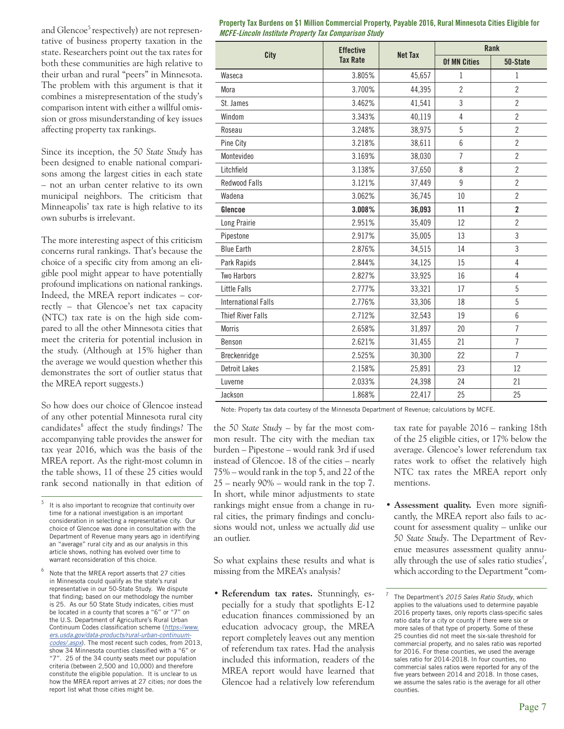and Glencoe<sup>5</sup> respectively) are not representative of business property taxation in the state. Researchers point out the tax rates for both these communities are high relative to their urban and rural "peers" in Minnesota. The problem with this argument is that it combines a misrepresentation of the study's comparison intent with either a willful omission or gross misunderstanding of key issues affecting property tax rankings.

Since its inception, the *50 State Study* has been designed to enable national comparisons among the largest cities in each state – not an urban center relative to its own municipal neighbors. The criticism that Minneapolis' tax rate is high relative to its own suburbs is irrelevant.

The more interesting aspect of this criticism concerns rural rankings. That's because the choice of a specific city from among an eligible pool might appear to have potentially profound implications on national rankings. Indeed, the MREA report indicates – correctly – that Glencoe's net tax capacity (NTC) tax rate is on the high side compared to all the other Minnesota cities that meet the criteria for potential inclusion in the study. (Although at 15% higher than the average we would question whether this demonstrates the sort of outlier status that the MREA report suggests.)

So how does our choice of Glencoe instead of any other potential Minnesota rural city candidates<sup>6</sup> affect the study findings? The accompanying table provides the answer for tax year 2016, which was the basis of the MREA report. As the right-most column in the table shows, 11 of these 25 cities would rank second nationally in that edition of

Note that the MREA report asserts that 27 cities in Minnesota could qualify as the state's rural representative in our 50-State Study. We dispute that finding; based on our methodology the number is 25. As our 50 State Study indicates, cities must be located in a county that scores a "6" or "7" on the U.S. Department of Agriculture's Rural Urban Continuum Codes classification scheme (https://www. *ers.usda.gov/data-products/rural-urban-continuumcodes/.aspx*). The most recent such codes, from 2013, show 34 Minnesota counties classified with a "6" or "7". 25 of the 34 county seats meet our population criteria (between 2,500 and 10,000) and therefore constitute the eligible population. It is unclear to us how the MREA report arrives at 27 cities; nor does the report list what those cities might be.

| Property Tax Burdens on \$1 Million Commercial Property, Payable 2016, Rural Minnesota Cities Eligible for |  |
|------------------------------------------------------------------------------------------------------------|--|
| MCFE-Lincoln Institute Property Tax Comparison Study                                                       |  |

|                            | <b>Effective</b>                  |        | Rank                |                         |  |
|----------------------------|-----------------------------------|--------|---------------------|-------------------------|--|
| City                       | <b>Net Tax</b><br><b>Tax Rate</b> |        | <b>Of MN Cities</b> | 50-State                |  |
| Waseca                     | 3.805%                            | 45,657 | $\mathbf{1}$        | 1                       |  |
| Mora                       | 3.700%                            | 44,395 | $\overline{2}$      | $\overline{2}$          |  |
| St. James                  | 3.462%                            | 41,541 | $\overline{3}$      | $\overline{2}$          |  |
| Windom                     | 3.343%                            | 40,119 | 4                   | $\overline{2}$          |  |
| Roseau                     | 3.248%                            | 38,975 | 5                   | $\overline{2}$          |  |
| Pine City                  | 3.218%                            | 38,611 | 6                   | $\overline{2}$          |  |
| Montevideo                 | 3.169%                            | 38,030 | $\overline{7}$      | $\overline{2}$          |  |
| Litchfield                 | 3.138%                            | 37,650 | 8                   | $\overline{2}$          |  |
| <b>Redwood Falls</b>       | 3.121%                            | 37,449 | 9                   | $\overline{2}$          |  |
| Wadena                     | 3.062%                            | 36,745 | 10                  | $\overline{2}$          |  |
| Glencoe                    | 3.008%                            | 36,093 | 11                  | $\overline{\mathbf{2}}$ |  |
| Long Prairie               | 2.951%                            | 35,409 | 12                  | $\overline{2}$          |  |
| Pipestone                  | 2.917%                            | 35,005 | 13                  | 3                       |  |
| <b>Blue Earth</b>          | 2.876%                            | 34,515 | 14                  | $\overline{3}$          |  |
| Park Rapids                | 2.844%                            | 34,125 | 15                  | $\sqrt{4}$              |  |
| <b>Two Harbors</b>         | 2.827%                            | 33,925 | 16                  | $\overline{4}$          |  |
| <b>Little Falls</b>        | 2.777%                            | 33,321 | 17                  | 5                       |  |
| <b>International Falls</b> | 2.776%                            | 33,306 | 18                  | 5                       |  |
| <b>Thief River Falls</b>   | 2.712%                            | 32,543 | 19                  | $6\,$                   |  |
| <b>Morris</b>              | 2.658%                            | 31,897 | 20                  | $\overline{7}$          |  |
| Benson                     | 2.621%                            | 31,455 | 21                  | $\overline{7}$          |  |
| Breckenridge               | 2.525%                            | 30,300 | 22                  | $\overline{7}$          |  |
| <b>Detroit Lakes</b>       | 2.158%                            | 25,891 | 23                  | 12                      |  |
| Luverne                    | 2.033%                            | 24,398 | 24                  | 21                      |  |
| Jackson                    | 1.868%                            | 22,417 | 25                  | 25                      |  |

Note: Property tax data courtesy of the Minnesota Department of Revenue; calculations by MCFE.

the *50 State Study* – by far the most common result. The city with the median tax burden – Pipestone – would rank 3rd if used instead of Glencoe. 18 of the cities – nearly 75% – would rank in the top 5, and 22 of the 25 – nearly 90% – would rank in the top 7. In short, while minor adjustments to state rankings might ensue from a change in rural cities, the primary findings and conclusions would not, unless we actually *did* use an outlier.

So what explains these results and what is missing from the MREA's analysis?

• **Referendum tax rates.** Stunningly, especially for a study that spotlights E-12 education finances commissioned by an education advocacy group, the MREA report completely leaves out any mention of referendum tax rates. Had the analysis included this information, readers of the MREA report would have learned that Glencoe had a relatively low referendum

tax rate for payable 2016 – ranking 18th of the 25 eligible cities, or 17% below the average. Glencoe's lower referendum tax rates work to offset the relatively high NTC tax rates the MREA report only mentions.

• **Assessment quality.** Even more significantly, the MREA report also fails to account for assessment quality – unlike our *50 State Study*. The Department of Revenue measures assessment quality annually through the use of sales ratio studies<sup>7</sup>, which according to the Department "com-

It is also important to recognize that continuity over time for a national investigation is an important consideration in selecting a representative city. Our choice of Glencoe was done in consultation with the Department of Revenue many years ago in identifying an "average" rural city and as our analysis in this article shows, nothing has evolved over time to warrant reconsideration of this choice.

<sup>7</sup> The Department's *2015 Sales Ratio Study*, which applies to the valuations used to determine payable 2016 property taxes, only reports class-specific sales ratio data for a city or county if there were six or more sales of that type of property. Some of these 25 counties did not meet the six-sale threshold for commercial property, and no sales ratio was reported for 2016. For these counties, we used the average sales ratio for 2014-2018. In four counties, no commercial sales ratios were reported for any of the five years between 2014 and 2018. In those cases, we assume the sales ratio is the average for all other counties.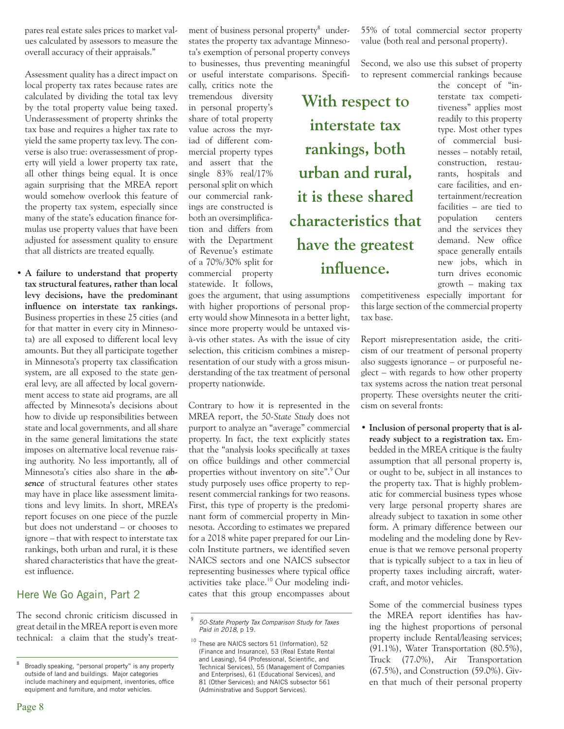pares real estate sales prices to market values calculated by assessors to measure the overall accuracy of their appraisals."

 Assessment quality has a direct impact on local property tax rates because rates are calculated by dividing the total tax levy by the total property value being taxed. Underassessment of property shrinks the tax base and requires a higher tax rate to yield the same property tax levy. The converse is also true: overassessment of property will yield a lower property tax rate, all other things being equal. It is once again surprising that the MREA report would somehow overlook this feature of the property tax system, especially since many of the state's education finance formulas use property values that have been adjusted for assessment quality to ensure that all districts are treated equally.

**• A failure to understand that property tax structural features, rather than local levy decisions, have the predominant influence on interstate tax rankings.**  Business properties in these 25 cities (and for that matter in every city in Minnesota) are all exposed to different local levy amounts. But they all participate together in Minnesota's property tax classification system, are all exposed to the state general levy, are all affected by local government access to state aid programs, are all affected by Minnesota's decisions about how to divide up responsibilities between state and local governments, and all share in the same general limitations the state imposes on alternative local revenue raising authority. No less importantly, all of Minnesota's cities also share in the *absence* of structural features other states may have in place like assessment limitations and levy limits. In short, MREA's report focuses on one piece of the puzzle but does not understand – or chooses to ignore – that with respect to interstate tax rankings, both urban and rural, it is these shared characteristics that have the greatest influence.

#### Here We Go Again, Part 2

The second chronic criticism discussed in great detail in the MREA report is even more technical: a claim that the study's treat-

ment of business personal property<sup>8</sup> understates the property tax advantage Minnesota's exemption of personal property conveys to businesses, thus preventing meaningful or useful interstate comparisons. Specifi-

cally, critics note the tremendous diversity in personal property's share of total property value across the myriad of different commercial property types and assert that the single 83% real/17% personal split on which our commercial rankings are constructed is both an oversimplification and differs from with the Department of Revenue's estimate of a 70%/30% split for commercial property statewide. It follows,

goes the argument, that using assumptions with higher proportions of personal property would show Minnesota in a better light, since more property would be untaxed visà-vis other states. As with the issue of city selection, this criticism combines a misrepresentation of our study with a gross misunderstanding of the tax treatment of personal property nationwide.

Contrary to how it is represented in the MREA report, the *50-State Study* does not purport to analyze an "average" commercial property. In fact, the text explicitly states that the "analysis looks specifically at taxes on office buildings and other commercial properties without inventory on site".<sup>9</sup>Our study purposely uses office property to represent commercial rankings for two reasons. First, this type of property is the predominant form of commercial property in Minnesota. According to estimates we prepared for a 2018 white paper prepared for our Lincoln Institute partners, we identified seven NAICS sectors and one NAICS subsector representing businesses where typical office activities take place.<sup>10</sup> Our modeling indicates that this group encompasses about 55% of total commercial sector property value (both real and personal property).

Second, we also use this subset of property to represent commercial rankings because

**With respect to interstate tax rankings, both urban and rural, it is these shared characteristics that have the greatest influence.**

the concept of "interstate tax competitiveness" applies most readily to this property type. Most other types of commercial businesses – notably retail, construction, restaurants, hospitals and care facilities, and entertainment/recreation facilities – are tied to population centers and the services they demand. New office space generally entails new jobs, which in turn drives economic growth – making tax

competitiveness especially important for this large section of the commercial property tax base.

Report misrepresentation aside, the criticism of our treatment of personal property also suggests ignorance – or purposeful neglect – with regards to how other property tax systems across the nation treat personal property. These oversights neuter the criticism on several fronts:

**• Inclusion of personal property that is already subject to a registration tax.** Embedded in the MREA critique is the faulty assumption that all personal property is, or ought to be, subject in all instances to the property tax. That is highly problematic for commercial business types whose very large personal property shares are already subject to taxation in some other form. A primary difference between our modeling and the modeling done by Revenue is that we remove personal property that is typically subject to a tax in lieu of property taxes including aircraft, watercraft, and motor vehicles.

 Some of the commercial business types the MREA report identifies has having the highest proportions of personal property include Rental/leasing services; (91.1%), Water Transportation (80.5%), Truck (77.0%), Air Transportation (67.5%), and Construction (59.0%). Given that much of their personal property

<sup>8</sup> Broadly speaking, "personal property" is any property outside of land and buildings. Major categories include machinery and equipment, inventories, office equipment and furniture, and motor vehicles.

<sup>9</sup> *50-State Property Tax Comparison Study for Taxes Paid in 2018*, p 19.

<sup>&</sup>lt;sup>10</sup> These are NAICS sectors 51 (Information), 52 (Finance and Insurance), 53 (Real Estate Rental and Leasing), 54 (Professional, Scientific, and Technical Services), 55 (Management of Companies and Enterprises), 61 (Educational Services), and 81 (Other Services); and NAICS subsector 561 (Administrative and Support Services).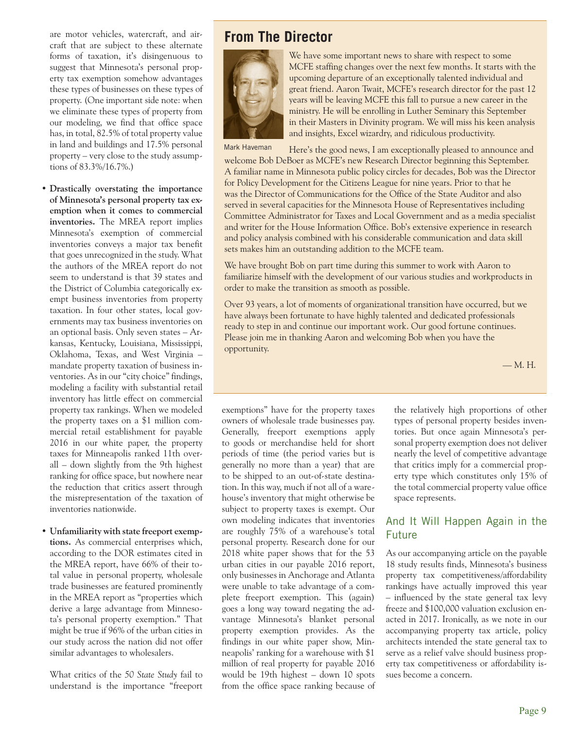are motor vehicles, watercraft, and aircraft that are subject to these alternate forms of taxation, it's disingenuous to suggest that Minnesota's personal property tax exemption somehow advantages these types of businesses on these types of property. (One important side note: when we eliminate these types of property from our modeling, we find that office space has, in total, 82.5% of total property value in land and buildings and 17.5% personal property – very close to the study assumptions of 83.3%/16.7%.)

**• Drastically overstating the importance of Minnesota's personal property tax exemption when it comes to commercial inventories.** The MREA report implies Minnesota's exemption of commercial inventories conveys a major tax benefit that goes unrecognized in the study. What the authors of the MREA report do not seem to understand is that 39 states and the District of Columbia categorically exempt business inventories from property taxation. In four other states, local governments may tax business inventories on an optional basis. Only seven states – Arkansas, Kentucky, Louisiana, Mississippi, Oklahoma, Texas, and West Virginia – mandate property taxation of business inventories. As in our "city choice" findings, modeling a facility with substantial retail inventory has little effect on commercial property tax rankings. When we modeled the property taxes on a \$1 million commercial retail establishment for payable 2016 in our white paper, the property taxes for Minneapolis ranked 11th overall – down slightly from the 9th highest ranking for office space, but nowhere near the reduction that critics assert through the misrepresentation of the taxation of inventories nationwide.

**• Unfamiliarity with state freeport exemptions.** As commercial enterprises which, according to the DOR estimates cited in the MREA report, have 66% of their total value in personal property, wholesale trade businesses are featured prominently in the MREA report as "properties which derive a large advantage from Minnesota's personal property exemption." That might be true if 96% of the urban cities in our study across the nation did not offer similar advantages to wholesalers.

 What critics of the *50 State Study* fail to understand is the importance "freeport

## **From The Director**



We have some important news to share with respect to some MCFE staffing changes over the next few months. It starts with the upcoming departure of an exceptionally talented individual and great friend. Aaron Twait, MCFE's research director for the past 12 years will be leaving MCFE this fall to pursue a new career in the ministry. He will be enrolling in Luther Seminary this September in their Masters in Divinity program. We will miss his keen analysis and insights, Excel wizardry, and ridiculous productivity.

Mark Haveman

Here's the good news, I am exceptionally pleased to announce and welcome Bob DeBoer as MCFE's new Research Director beginning this September. A familiar name in Minnesota public policy circles for decades, Bob was the Director for Policy Development for the Citizens League for nine years. Prior to that he was the Director of Communications for the Office of the State Auditor and also served in several capacities for the Minnesota House of Representatives including Committee Administrator for Taxes and Local Government and as a media specialist and writer for the House Information Office. Bob's extensive experience in research and policy analysis combined with his considerable communication and data skill sets makes him an outstanding addition to the MCFE team.

We have brought Bob on part time during this summer to work with Aaron to familiarize himself with the development of our various studies and workproducts in order to make the transition as smooth as possible.

Over 93 years, a lot of moments of organizational transition have occurred, but we have always been fortunate to have highly talented and dedicated professionals ready to step in and continue our important work. Our good fortune continues. Please join me in thanking Aaron and welcoming Bob when you have the opportunity.

— M. H.

exemptions" have for the property taxes owners of wholesale trade businesses pay. Generally, freeport exemptions apply to goods or merchandise held for short periods of time (the period varies but is generally no more than a year) that are to be shipped to an out-of-state destination. In this way, much if not all of a warehouse's inventory that might otherwise be subject to property taxes is exempt. Our own modeling indicates that inventories are roughly 75% of a warehouse's total personal property. Research done for our 2018 white paper shows that for the 53 urban cities in our payable 2016 report, only businesses in Anchorage and Atlanta were unable to take advantage of a complete freeport exemption. This (again) goes a long way toward negating the advantage Minnesota's blanket personal property exemption provides. As the findings in our white paper show, Minneapolis' ranking for a warehouse with \$1 million of real property for payable 2016 would be 19th highest – down 10 spots from the office space ranking because of the relatively high proportions of other types of personal property besides inventories. But once again Minnesota's personal property exemption does not deliver nearly the level of competitive advantage that critics imply for a commercial property type which constitutes only 15% of the total commercial property value office space represents.

#### And It Will Happen Again in the Future

As our accompanying article on the payable 18 study results finds, Minnesota's business property tax competitiveness/affordability rankings have actually improved this year – influenced by the state general tax levy freeze and \$100,000 valuation exclusion enacted in 2017. Ironically, as we note in our accompanying property tax article, policy architects intended the state general tax to serve as a relief valve should business property tax competitiveness or affordability issues become a concern.